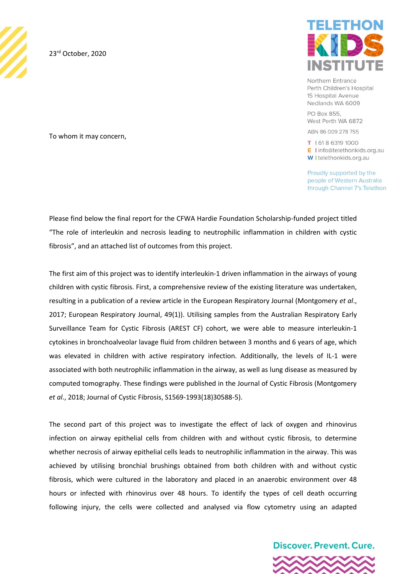

23<sup>rd</sup> October, 2020

To whom it may concern,



Northern Entrance Perth Children's Hospital 15 Hospital Avenue Nedlands WA 6009

PO Box 855. West Perth WA 6872

ABN 86 009 278 755

T | 618 6319 1000 E linfo@telethonkids.org.au W I telethonkids.org.au

Proudly supported by the people of Western Australia through Channel 7's Telethon

Please find below the final report for the CFWA Hardie Foundation Scholarship-funded project titled "The role of interleukin and necrosis leading to neutrophilic inflammation in children with cystic fibrosis", and an attached list of outcomes from this project.

The first aim of this project was to identify interleukin-1 driven inflammation in the airways of young children with cystic fibrosis. First, a comprehensive review of the existing literature was undertaken, resulting in a publication of a review article in the European Respiratory Journal (Montgomery *et al*., 2017; European Respiratory Journal, 49(1)). Utilising samples from the Australian Respiratory Early Surveillance Team for Cystic Fibrosis (AREST CF) cohort, we were able to measure interleukin-1 cytokines in bronchoalveolar lavage fluid from children between 3 months and 6 years of age, which was elevated in children with active respiratory infection. Additionally, the levels of IL-1 were associated with both neutrophilic inflammation in the airway, as well as lung disease as measured by computed tomography. These findings were published in the Journal of Cystic Fibrosis (Montgomery *et al*., 2018; Journal of Cystic Fibrosis, S1569-1993(18)30588-5).

The second part of this project was to investigate the effect of lack of oxygen and rhinovirus infection on airway epithelial cells from children with and without cystic fibrosis, to determine whether necrosis of airway epithelial cells leads to neutrophilic inflammation in the airway. This was achieved by utilising bronchial brushings obtained from both children with and without cystic fibrosis, which were cultured in the laboratory and placed in an anaerobic environment over 48 hours or infected with rhinovirus over 48 hours. To identify the types of cell death occurring following injury, the cells were collected and analysed via flow cytometry using an adapted

**Discover, Prevent, Cure.** 

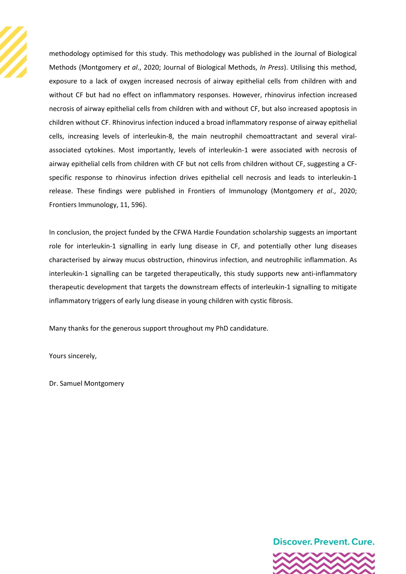

methodology optimised for this study. This methodology was published in the Journal of Biological Methods (Montgomery *et al*., 2020; Journal of Biological Methods, *In Press*). Utilising this method, exposure to a lack of oxygen increased necrosis of airway epithelial cells from children with and without CF but had no effect on inflammatory responses. However, rhinovirus infection increased necrosis of airway epithelial cells from children with and without CF, but also increased apoptosis in children without CF. Rhinovirus infection induced a broad inflammatory response of airway epithelial cells, increasing levels of interleukin-8, the main neutrophil chemoattractant and several viralassociated cytokines. Most importantly, levels of interleukin-1 were associated with necrosis of airway epithelial cells from children with CF but not cells from children without CF, suggesting a CFspecific response to rhinovirus infection drives epithelial cell necrosis and leads to interleukin-1 release. These findings were published in Frontiers of Immunology (Montgomery *et al*., 2020; Frontiers Immunology, 11, 596).

In conclusion, the project funded by the CFWA Hardie Foundation scholarship suggests an important role for interleukin-1 signalling in early lung disease in CF, and potentially other lung diseases characterised by airway mucus obstruction, rhinovirus infection, and neutrophilic inflammation. As interleukin-1 signalling can be targeted therapeutically, this study supports new anti-inflammatory therapeutic development that targets the downstream effects of interleukin-1 signalling to mitigate inflammatory triggers of early lung disease in young children with cystic fibrosis.

Many thanks for the generous support throughout my PhD candidature.

Yours sincerely,

Dr. Samuel Montgomery

**Discover, Prevent, Cure.**